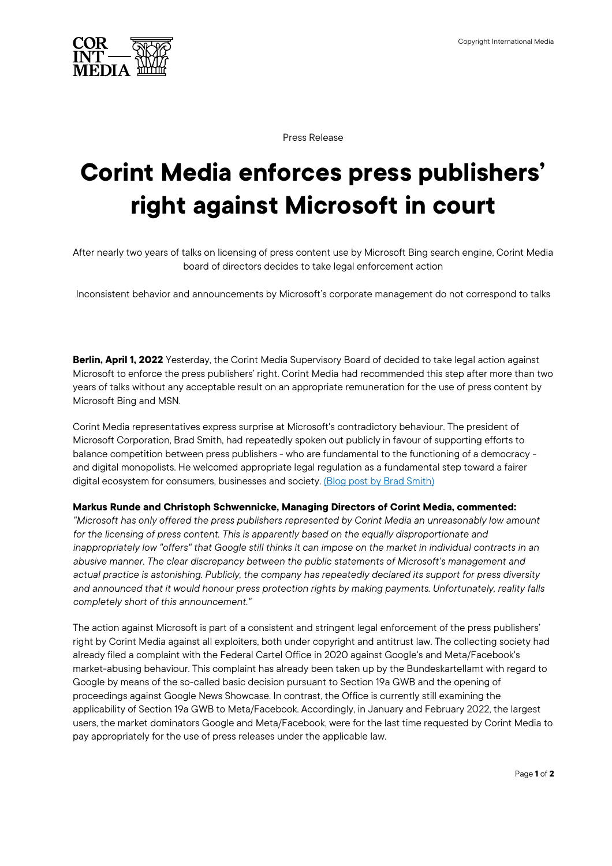

Press Release

## **Corint Media enforces press publishers' right against Microsoft in court**

After nearly two years of talks on licensing of press content use by Microsoft Bing search engine, Corint Media board of directors decides to take legal enforcement action

Inconsistent behavior and announcements by Microsoft's corporate management do not correspond to talks

**Berlin, April 1, 2022** Yesterday, the Corint Media Supervisory Board of decided to take legal action against Microsoft to enforce the press publishers' right. Corint Media had recommended this step after more than two years of talks without any acceptable result on an appropriate remuneration for the use of press content by Microsoft Bing and MSN.

Corint Media representatives express surprise at Microsoft's contradictory behaviour. The president of Microsoft Corporation, Brad Smith, had repeatedly spoken out publicly in favour of supporting efforts to balance competition between press publishers - who are fundamental to the functioning of a democracy and digital monopolists. He welcomed appropriate legal regulation as a fundamental step toward a fairer digital ecosystem for consumers, businesses and society. (Blog post by Brad Smith)

## **Markus Runde and Christoph Schwennicke, Managing Directors of Corint Media, commented:**

*"Microsoft has only offered the press publishers represented by Corint Media an unreasonably low amount*  for the licensing of press content. This is apparently based on the equally disproportionate and *inappropriately low "offers" that Google still thinks it can impose on the market in individual contracts in an abusive manner. The clear discrepancy between the public statements of Microsoft's management and actual practice is astonishing. Publicly, the company has repeatedly declared its support for press diversity and announced that it would honour press protection rights by making payments. Unfortunately, reality falls completely short of this announcement."*

The action against Microsoft is part of a consistent and stringent legal enforcement of the press publishers' right by Corint Media against all exploiters, both under copyright and antitrust law. The collecting society had already filed a complaint with the Federal Cartel Office in 2020 against Google's and Meta/Facebook's market-abusing behaviour. This complaint has already been taken up by the Bundeskartellamt with regard to Google by means of the so-called basic decision pursuant to Section 19a GWB and the opening of proceedings against Google News Showcase. In contrast, the Office is currently still examining the applicability of Section 19a GWB to Meta/Facebook. Accordingly, in January and February 2022, the largest users, the market dominators Google and Meta/Facebook, were for the last time requested by Corint Media to pay appropriately for the use of press releases under the applicable law.